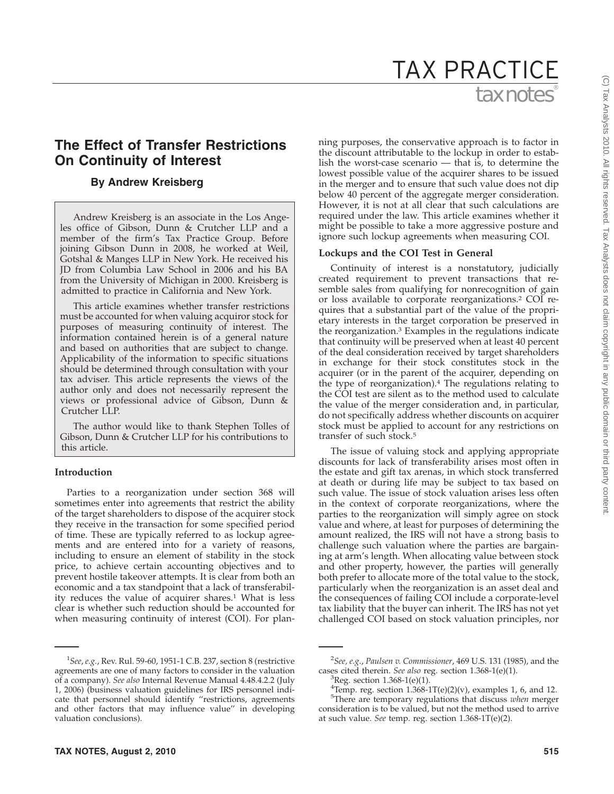# tax notes® TAX PRACTICE

## **The Effect of Transfer Restrictions On Continuity of Interest**

## **By Andrew Kreisberg**

Andrew Kreisberg is an associate in the Los Angeles office of Gibson, Dunn & Crutcher LLP and a member of the firm's Tax Practice Group. Before joining Gibson Dunn in 2008, he worked at Weil, Gotshal & Manges LLP in New York. He received his JD from Columbia Law School in 2006 and his BA from the University of Michigan in 2000. Kreisberg is admitted to practice in California and New York.

This article examines whether transfer restrictions must be accounted for when valuing acquiror stock for purposes of measuring continuity of interest. The information contained herein is of a general nature and based on authorities that are subject to change. Applicability of the information to specific situations should be determined through consultation with your tax adviser. This article represents the views of the author only and does not necessarily represent the views or professional advice of Gibson, Dunn & Crutcher LLP.

The author would like to thank Stephen Tolles of Gibson, Dunn & Crutcher LLP for his contributions to this article.

## **Introduction**

Parties to a reorganization under section 368 will sometimes enter into agreements that restrict the ability of the target shareholders to dispose of the acquirer stock they receive in the transaction for some specified period of time. These are typically referred to as lockup agreements and are entered into for a variety of reasons, including to ensure an element of stability in the stock price, to achieve certain accounting objectives and to prevent hostile takeover attempts. It is clear from both an economic and a tax standpoint that a lack of transferability reduces the value of acquirer shares.1 What is less clear is whether such reduction should be accounted for when measuring continuity of interest (COI). For planning purposes, the conservative approach is to factor in the discount attributable to the lockup in order to establish the worst-case scenario — that is, to determine the lowest possible value of the acquirer shares to be issued in the merger and to ensure that such value does not dip below 40 percent of the aggregate merger consideration. However, it is not at all clear that such calculations are required under the law. This article examines whether it might be possible to take a more aggressive posture and ignore such lockup agreements when measuring COI.

#### **Lockups and the COI Test in General**

Continuity of interest is a nonstatutory, judicially created requirement to prevent transactions that resemble sales from qualifying for nonrecognition of gain or loss available to corporate reorganizations.2 COI requires that a substantial part of the value of the proprietary interests in the target corporation be preserved in the reorganization.3 Examples in the regulations indicate that continuity will be preserved when at least 40 percent of the deal consideration received by target shareholders in exchange for their stock constitutes stock in the acquirer (or in the parent of the acquirer, depending on the type of reorganization).4 The regulations relating to the COI test are silent as to the method used to calculate the value of the merger consideration and, in particular, do not specifically address whether discounts on acquirer stock must be applied to account for any restrictions on transfer of such stock.5

The issue of valuing stock and applying appropriate discounts for lack of transferability arises most often in the estate and gift tax arenas, in which stock transferred at death or during life may be subject to tax based on such value. The issue of stock valuation arises less often in the context of corporate reorganizations, where the parties to the reorganization will simply agree on stock value and where, at least for purposes of determining the amount realized, the IRS will not have a strong basis to challenge such valuation where the parties are bargaining at arm's length. When allocating value between stock and other property, however, the parties will generally both prefer to allocate more of the total value to the stock, particularly when the reorganization is an asset deal and the consequences of failing COI include a corporate-level tax liability that the buyer can inherit. The IRS has not yet challenged COI based on stock valuation principles, nor

<sup>1</sup> *See*, *e.g.*, Rev. Rul. 59-60, 1951-1 C.B. 237, section 8 (restrictive agreements are one of many factors to consider in the valuation of a company). *See also* Internal Revenue Manual 4.48.4.2.2 (July 1, 2006) (business valuation guidelines for IRS personnel indicate that personnel should identify ''restrictions, agreements and other factors that may influence value'' in developing valuation conclusions).

<sup>2</sup> *See, e.g.*, *Paulsen v. Commissioner*, 469 U.S. 131 (1985), and the cases cited therein. *See also* reg. section 1.368-1(e)(1).

 ${}^{3}$ Reg. section 1.368-1(e)(1).

<sup>&</sup>lt;sup>4</sup>Temp. reg. section  $1.368$ -1T(e)(2)(v), examples 1, 6, and 12. 5 There are temporary regulations that discuss *when* merger consideration is to be valued, but not the method used to arrive at such value. *See* temp. reg. section 1.368-1T(e)(2).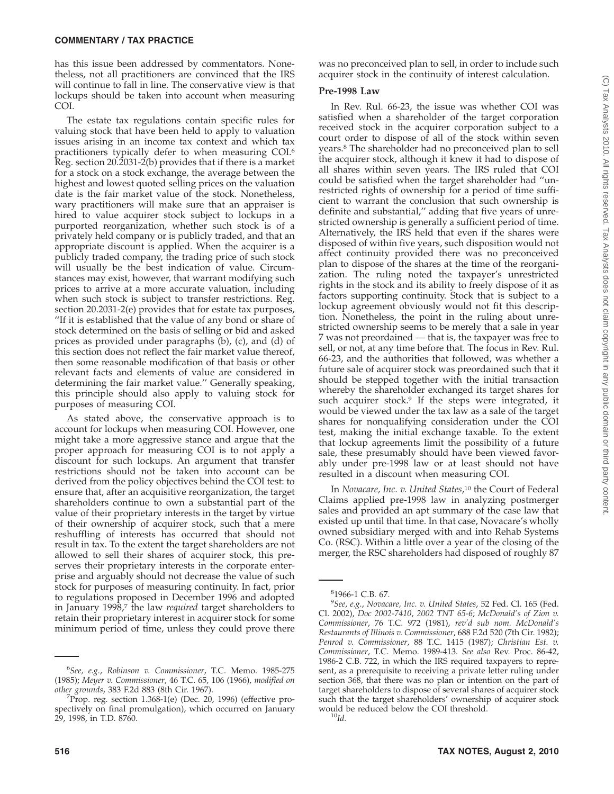has this issue been addressed by commentators. Nonetheless, not all practitioners are convinced that the IRS will continue to fall in line. The conservative view is that lockups should be taken into account when measuring COI.

The estate tax regulations contain specific rules for valuing stock that have been held to apply to valuation issues arising in an income tax context and which tax practitioners typically defer to when measuring COI.6 Reg. section 20.2031-2(b) provides that if there is a market for a stock on a stock exchange, the average between the highest and lowest quoted selling prices on the valuation date is the fair market value of the stock. Nonetheless, wary practitioners will make sure that an appraiser is hired to value acquirer stock subject to lockups in a purported reorganization, whether such stock is of a privately held company or is publicly traded, and that an appropriate discount is applied. When the acquirer is a publicly traded company, the trading price of such stock will usually be the best indication of value. Circumstances may exist, however, that warrant modifying such prices to arrive at a more accurate valuation, including when such stock is subject to transfer restrictions. Reg. section 20.2031-2(e) provides that for estate tax purposes, ''If it is established that the value of any bond or share of stock determined on the basis of selling or bid and asked prices as provided under paragraphs (b), (c), and (d) of this section does not reflect the fair market value thereof, then some reasonable modification of that basis or other relevant facts and elements of value are considered in determining the fair market value.'' Generally speaking, this principle should also apply to valuing stock for purposes of measuring COI.

As stated above, the conservative approach is to account for lockups when measuring COI. However, one might take a more aggressive stance and argue that the proper approach for measuring COI is to not apply a discount for such lockups. An argument that transfer restrictions should not be taken into account can be derived from the policy objectives behind the COI test: to ensure that, after an acquisitive reorganization, the target shareholders continue to own a substantial part of the value of their proprietary interests in the target by virtue of their ownership of acquirer stock, such that a mere reshuffling of interests has occurred that should not result in tax. To the extent the target shareholders are not allowed to sell their shares of acquirer stock, this preserves their proprietary interests in the corporate enterprise and arguably should not decrease the value of such stock for purposes of measuring continuity. In fact, prior to regulations proposed in December 1996 and adopted in January 1998,7 the law *required* target shareholders to retain their proprietary interest in acquirer stock for some minimum period of time, unless they could prove there

was no preconceived plan to sell, in order to include such acquirer stock in the continuity of interest calculation.

## **Pre-1998 Law**

In Rev. Rul. 66-23, the issue was whether COI was satisfied when a shareholder of the target corporation received stock in the acquirer corporation subject to a court order to dispose of all of the stock within seven years.8 The shareholder had no preconceived plan to sell the acquirer stock, although it knew it had to dispose of all shares within seven years. The IRS ruled that COI could be satisfied when the target shareholder had ''unrestricted rights of ownership for a period of time sufficient to warrant the conclusion that such ownership is definite and substantial,'' adding that five years of unrestricted ownership is generally a sufficient period of time. Alternatively, the IRS held that even if the shares were disposed of within five years, such disposition would not affect continuity provided there was no preconceived plan to dispose of the shares at the time of the reorganization. The ruling noted the taxpayer's unrestricted rights in the stock and its ability to freely dispose of it as factors supporting continuity. Stock that is subject to a lockup agreement obviously would not fit this description. Nonetheless, the point in the ruling about unrestricted ownership seems to be merely that a sale in year 7 was not preordained — that is, the taxpayer was free to sell, or not, at any time before that. The focus in Rev. Rul. 66-23, and the authorities that followed, was whether a future sale of acquirer stock was preordained such that it should be stepped together with the initial transaction whereby the shareholder exchanged its target shares for such acquirer stock.<sup>9</sup> If the steps were integrated, it would be viewed under the tax law as a sale of the target shares for nonqualifying consideration under the COI test, making the initial exchange taxable. To the extent that lockup agreements limit the possibility of a future sale, these presumably should have been viewed favorably under pre-1998 law or at least should not have resulted in a discount when measuring COI.

In *Novacare, Inc. v. United States*, <sup>10</sup> the Court of Federal Claims applied pre-1998 law in analyzing postmerger sales and provided an apt summary of the case law that existed up until that time. In that case, Novacare's wholly owned subsidiary merged with and into Rehab Systems Co. (RSC). Within a little over a year of the closing of the merger, the RSC shareholders had disposed of roughly 87

<sup>6</sup> *See, e.g.*, *Robinson v. Commissioner*, T.C. Memo. 1985-275 (1985); *Meyer v. Commissioner*, 46 T.C. 65, 106 (1966), *modified on other grounds*, 383 F.2d 883 (8th Cir. 1967). <sup>7</sup>

 ${}^{7}$ Prop. reg. section 1.368-1(e) (Dec. 20, 1996) (effective prospectively on final promulgation), which occurred on January 29, 1998, in T.D. 8760.

<sup>8</sup> 1966-1 C.B. 67.

<sup>9</sup> *See*, *e.g.*, *Novacare, Inc. v. United States*, 52 Fed. Cl. 165 (Fed. Cl. 2002), *Doc 2002-7410*, *2002 TNT 65-6*; *McDonald's of Zion v. Commissioner*, 76 T.C. 972 (1981), *rev'd sub nom. McDonald's Restaurants of Illinois v. Commissioner*, 688 F.2d 520 (7th Cir. 1982); *Penrod v. Commissioner*, 88 T.C. 1415 (1987); *Christian Est. v. Commissioner*, T.C. Memo. 1989-413. *See also* Rev. Proc. 86-42, 1986-2 C.B. 722, in which the IRS required taxpayers to represent, as a prerequisite to receiving a private letter ruling under section 368, that there was no plan or intention on the part of target shareholders to dispose of several shares of acquirer stock such that the target shareholders' ownership of acquirer stock would be reduced below the COI threshold. <sup>10</sup>*Id.*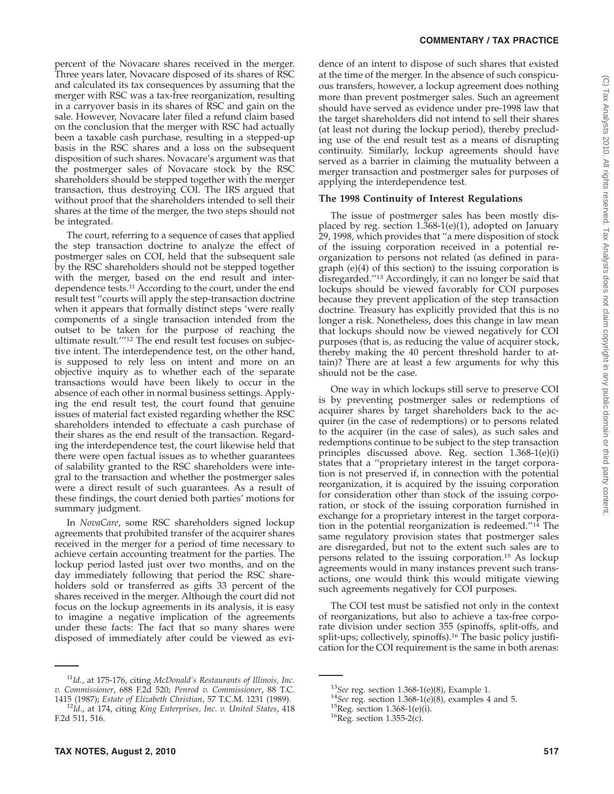#### **COMMENTARY / TAX PRACTICE**

percent of the Novacare shares received in the merger. Three years later, Novacare disposed of its shares of RSC and calculated its tax consequences by assuming that the merger with RSC was a tax-free reorganization, resulting in a carryover basis in its shares of RSC and gain on the sale. However, Novacare later filed a refund claim based on the conclusion that the merger with RSC had actually been a taxable cash purchase, resulting in a stepped-up basis in the RSC shares and a loss on the subsequent disposition of such shares. Novacare's argument was that the postmerger sales of Novacare stock by the RSC shareholders should be stepped together with the merger transaction, thus destroying COI. The IRS argued that without proof that the shareholders intended to sell their shares at the time of the merger, the two steps should not be integrated.

The court, referring to a sequence of cases that applied the step transaction doctrine to analyze the effect of postmerger sales on COI, held that the subsequent sale by the RSC shareholders should not be stepped together with the merger, based on the end result and interdependence tests.11 According to the court, under the end result test ''courts will apply the step-transaction doctrine when it appears that formally distinct steps 'were really components of a single transaction intended from the outset to be taken for the purpose of reaching the ultimate result.'''12 The end result test focuses on subjective intent. The interdependence test, on the other hand, is supposed to rely less on intent and more on an objective inquiry as to whether each of the separate transactions would have been likely to occur in the absence of each other in normal business settings. Applying the end result test, the court found that genuine issues of material fact existed regarding whether the RSC shareholders intended to effectuate a cash purchase of their shares as the end result of the transaction. Regarding the interdependence test, the court likewise held that there were open factual issues as to whether guarantees of salability granted to the RSC shareholders were integral to the transaction and whether the postmerger sales were a direct result of such guarantees. As a result of these findings, the court denied both parties' motions for summary judgment.

In *NovaCare*, some RSC shareholders signed lockup agreements that prohibited transfer of the acquirer shares received in the merger for a period of time necessary to achieve certain accounting treatment for the parties. The lockup period lasted just over two months, and on the day immediately following that period the RSC shareholders sold or transferred as gifts 33 percent of the shares received in the merger. Although the court did not focus on the lockup agreements in its analysis, it is easy to imagine a negative implication of the agreements under these facts: The fact that so many shares were disposed of immediately after could be viewed as evidence of an intent to dispose of such shares that existed at the time of the merger. In the absence of such conspicuous transfers, however, a lockup agreement does nothing more than prevent postmerger sales. Such an agreement should have served as evidence under pre-1998 law that the target shareholders did not intend to sell their shares (at least not during the lockup period), thereby precluding use of the end result test as a means of disrupting continuity. Similarly, lockup agreements should have served as a barrier in claiming the mutuality between a merger transaction and postmerger sales for purposes of applying the interdependence test.

## **The 1998 Continuity of Interest Regulations**

The issue of postmerger sales has been mostly displaced by reg. section 1.368-1(e)(1), adopted on January 29, 1998, which provides that ''a mere disposition of stock of the issuing corporation received in a potential reorganization to persons not related (as defined in paragraph (e)(4) of this section) to the issuing corporation is disregarded.''13 Accordingly, it can no longer be said that lockups should be viewed favorably for COI purposes because they prevent application of the step transaction doctrine. Treasury has explicitly provided that this is no longer a risk. Nonetheless, does this change in law mean that lockups should now be viewed negatively for COI purposes (that is, as reducing the value of acquirer stock, thereby making the 40 percent threshold harder to attain)? There are at least a few arguments for why this should not be the case.

One way in which lockups still serve to preserve COI is by preventing postmerger sales or redemptions of acquirer shares by target shareholders back to the acquirer (in the case of redemptions) or to persons related to the acquirer (in the case of sales), as such sales and redemptions continue to be subject to the step transaction principles discussed above. Reg. section 1.368-1(e)(i) states that a ''proprietary interest in the target corporation is not preserved if, in connection with the potential reorganization, it is acquired by the issuing corporation for consideration other than stock of the issuing corporation, or stock of the issuing corporation furnished in exchange for a proprietary interest in the target corporation in the potential reorganization is redeemed.''14 The same regulatory provision states that postmerger sales are disregarded, but not to the extent such sales are to persons related to the issuing corporation.15 As lockup agreements would in many instances prevent such transactions, one would think this would mitigate viewing such agreements negatively for COI purposes.

The COI test must be satisfied not only in the context of reorganizations, but also to achieve a tax-free corporate division under section 355 (spinoffs, split-offs, and split-ups; collectively, spinoffs).<sup>16</sup> The basic policy justification for the COI requirement is the same in both arenas:

<sup>11</sup>*Id.*, at 175-176, citing *McDonald's Restaurants of Illinois, Inc. v. Commissioner*, 688 F.2d 520; *Penrod v. Commissioner*, 88 T.C.

<sup>&</sup>lt;sup>12</sup>Id., at 174, citing King Enterprises, Inc. v. United States, 418 F.2d 511, 516.

<sup>&</sup>lt;sup>13</sup>*See* reg. section 1.368-1(e)(8), Example 1.<br><sup>14</sup>*See* reg. section 1.368-1(e)(8), examples 4 and 5.<br><sup>15</sup>Reg. section 1.368-1(e)(i). 1<sup>6</sup>Reg. section 1.355-2(c).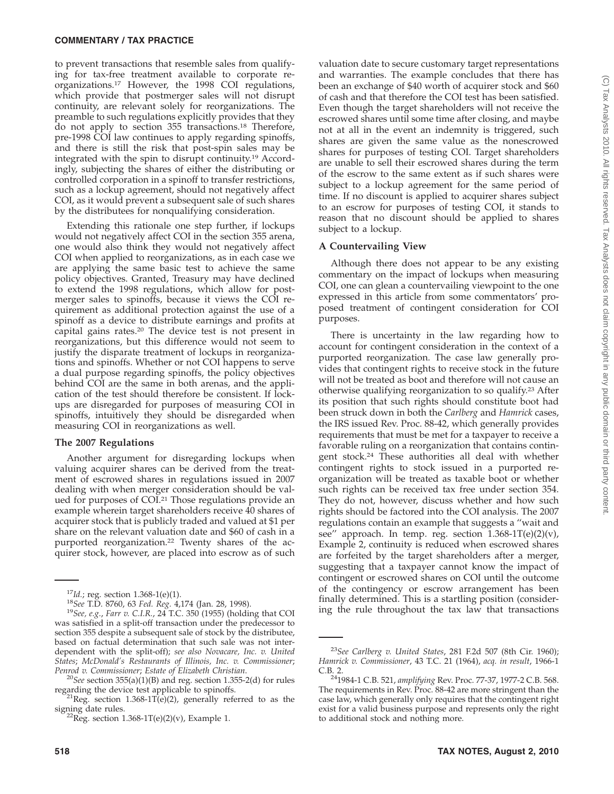#### **COMMENTARY / TAX PRACTICE**

to prevent transactions that resemble sales from qualifying for tax-free treatment available to corporate reorganizations.17 However, the 1998 COI regulations, which provide that postmerger sales will not disrupt continuity, are relevant solely for reorganizations. The preamble to such regulations explicitly provides that they do not apply to section 355 transactions.18 Therefore, pre-1998 COI law continues to apply regarding spinoffs, and there is still the risk that post-spin sales may be integrated with the spin to disrupt continuity.19 Accordingly, subjecting the shares of either the distributing or controlled corporation in a spinoff to transfer restrictions, such as a lockup agreement, should not negatively affect COI, as it would prevent a subsequent sale of such shares by the distributees for nonqualifying consideration.

Extending this rationale one step further, if lockups would not negatively affect COI in the section 355 arena, one would also think they would not negatively affect COI when applied to reorganizations, as in each case we are applying the same basic test to achieve the same policy objectives. Granted, Treasury may have declined to extend the 1998 regulations, which allow for postmerger sales to spinoffs, because it views the COI requirement as additional protection against the use of a spinoff as a device to distribute earnings and profits at capital gains rates.20 The device test is not present in reorganizations, but this difference would not seem to justify the disparate treatment of lockups in reorganizations and spinoffs. Whether or not COI happens to serve a dual purpose regarding spinoffs, the policy objectives behind COI are the same in both arenas, and the application of the test should therefore be consistent. If lockups are disregarded for purposes of measuring COI in spinoffs, intuitively they should be disregarded when measuring COI in reorganizations as well.

#### **The 2007 Regulations**

Another argument for disregarding lockups when valuing acquirer shares can be derived from the treatment of escrowed shares in regulations issued in 2007 dealing with when merger consideration should be valued for purposes of COI.21 Those regulations provide an example wherein target shareholders receive 40 shares of acquirer stock that is publicly traded and valued at \$1 per share on the relevant valuation date and \$60 of cash in a purported reorganization.22 Twenty shares of the acquirer stock, however, are placed into escrow as of such valuation date to secure customary target representations and warranties. The example concludes that there has been an exchange of \$40 worth of acquirer stock and \$60 of cash and that therefore the COI test has been satisfied. Even though the target shareholders will not receive the escrowed shares until some time after closing, and maybe not at all in the event an indemnity is triggered, such shares are given the same value as the nonescrowed shares for purposes of testing COI. Target shareholders are unable to sell their escrowed shares during the term of the escrow to the same extent as if such shares were subject to a lockup agreement for the same period of time. If no discount is applied to acquirer shares subject to an escrow for purposes of testing COI, it stands to reason that no discount should be applied to shares subject to a lockup.

### **A Countervailing View**

Although there does not appear to be any existing commentary on the impact of lockups when measuring COI, one can glean a countervailing viewpoint to the one expressed in this article from some commentators' proposed treatment of contingent consideration for COI purposes.

There is uncertainty in the law regarding how to account for contingent consideration in the context of a purported reorganization. The case law generally provides that contingent rights to receive stock in the future will not be treated as boot and therefore will not cause an otherwise qualifying reorganization to so qualify.23 After its position that such rights should constitute boot had been struck down in both the *Carlberg* and *Hamrick* cases, the IRS issued Rev. Proc. 88-42, which generally provides requirements that must be met for a taxpayer to receive a favorable ruling on a reorganization that contains contingent stock.24 These authorities all deal with whether contingent rights to stock issued in a purported reorganization will be treated as taxable boot or whether such rights can be received tax free under section 354. They do not, however, discuss whether and how such rights should be factored into the COI analysis. The 2007 regulations contain an example that suggests a ''wait and see" approach. In temp. reg. section  $1.368-1T(e)(2)(v)$ , Example 2, continuity is reduced when escrowed shares are forfeited by the target shareholders after a merger, suggesting that a taxpayer cannot know the impact of contingent or escrowed shares on COI until the outcome of the contingency or escrow arrangement has been finally determined. This is a startling position (considering the rule throughout the tax law that transactions

<sup>&</sup>lt;sup>17</sup>*Id.*; reg. section 1.368-1(e)(1).<br><sup>18</sup>*See* T.D. 8760, 63 *Fed. Reg.* 4,174 (Jan. 28, 1998).<br><sup>19</sup>*See, e.g., Farr v. C.I.R.,* 24 T.C. 350 (1955) (holding that COI was satisfied in a split-off transaction under the predecessor to section 355 despite a subsequent sale of stock by the distributee, based on factual determination that such sale was not interdependent with the split-off); *see also Novacare, Inc. v. United States*; *McDonald's Restaurants of Illinois, Inc. v. Commissioner*;

<sup>&</sup>lt;sup>20</sup>*See* section 355(a)(1)(B) and reg. section 1.355-2(d) for rules regarding the device test applicable to spinoffs.

<sup>&</sup>lt;sup>21</sup>Reg. section 1.368-1T(e)(2), generally referred to as the signing date rules.<br><sup>22</sup>Reg. section 1.368-1T(e)(2)(v), Example 1.

<sup>23</sup>*See Carlberg v. United States*, 281 F.2d 507 (8th Cir. 1960); *Hamrick v. Commissioner*, 43 T.C. 21 (1964), *acq. in result*, 1966-1

C.B. 2. 241984-1 C.B. 521, *amplifying* Rev. Proc. 77-37, 1977-2 C.B. 568. The requirements in Rev. Proc. 88-42 are more stringent than the case law, which generally only requires that the contingent right exist for a valid business purpose and represents only the right to additional stock and nothing more.